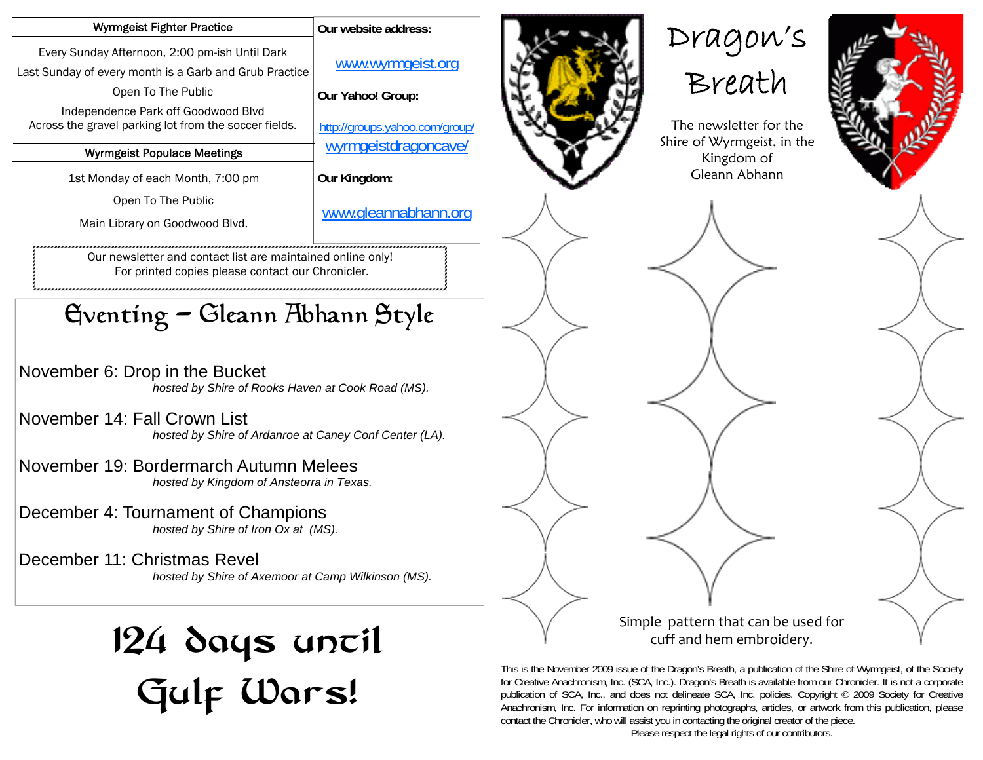| www.wyrmgeist.org<br>Our Yahoo! Group:<br>http://groups.yahoo.com/group/<br>wyrmgeistdragoncave/                 |
|------------------------------------------------------------------------------------------------------------------|
|                                                                                                                  |
|                                                                                                                  |
| Our Kingdom:                                                                                                     |
| www.gleannabhann.org                                                                                             |
| Our newsletter and contact list are maintained online only!<br>For printed copies please contact our Chronicler. |
| Gventing - Gleann Abhann Style                                                                                   |
|                                                                                                                  |

November 6: Drop in the Bucket  *hosted by Shire of Rooks Haven at Cook Road (MS).* 

November 14: Fall Crown List  *hosted by Shire of Ardanroe at Caney Conf Center (LA).* 

November 19: Bordermarch Autumn Melees  *hosted by Kingdom of Ansteorra in Texas.* 

December 4: Tournament of Champions  *hosted by Shire of Iron Ox at (MS).* 

December 11: Christmas Revel  *hosted by Shire of Axemoor at Camp Wilkinson (MS).* 

## 124 days uncil Gulf Wars!







The newsletter for the Shire of Wyrmgeist, in the Kingdom of Gleann Abhann



Simple pattern that can be used for cuff and hem embroidery.

This is the November 2009 issue of the Dragon's Breath, a publication of the Shire of Wyrmgeist, of the Society for Creative Anachronism, Inc. (SCA, Inc.). Dragon's Breath is available from our Chronicler. It is not a corporate publication of SCA, Inc., and does not delineate SCA, Inc. policies. Copyright © 2009 Society for Creative Anachronism, Inc. For information on reprinting photographs, articles, or artwork from this publication, please contact the Chronicler, who will assist you in contacting the original creator of the piece.

Please respect the legal rights of our contributors.